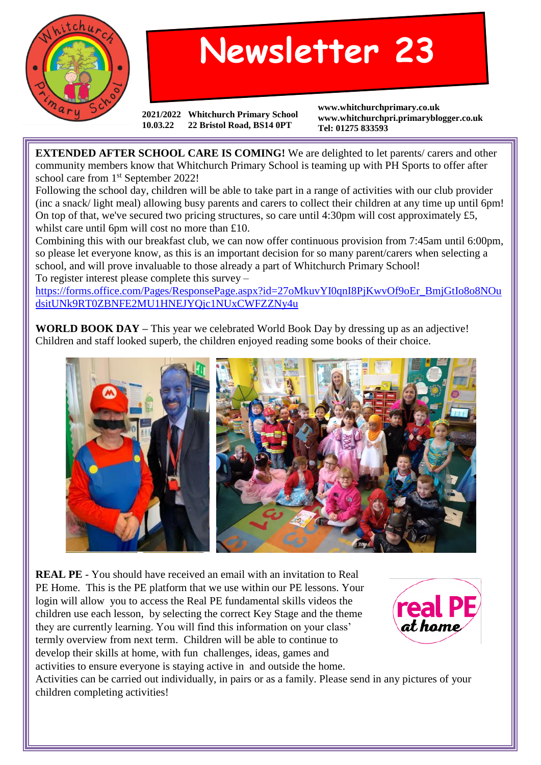

## **Newsletter 23**

**2021/2022 Whitchurch Primary School 10.03.22 22 Bristol Road, BS14 0PT**

**www.whitchurchprimary.co.uk www.whitchurchpri.primaryblogger.co.uk Tel: 01275 833593**

**EXTENDED AFTER SCHOOL CARE IS COMING!** We are delighted to let parents/ carers and other community members know that Whitchurch Primary School is teaming up with PH Sports to offer after school care from 1<sup>st</sup> September 2022!

Following the school day, children will be able to take part in a range of activities with our club provider (inc a snack/ light meal) allowing busy parents and carers to collect their children at any time up until 6pm! On top of that, we've secured two pricing structures, so care until 4:30pm will cost approximately £5, whilst care until 6pm will cost no more than £10.

Combining this with our breakfast club, we can now offer continuous provision from 7:45am until 6:00pm, so please let everyone know, as this is an important decision for so many parent/carers when selecting a school, and will prove invaluable to those already a part of Whitchurch Primary School! To register interest please complete this survey –

[https://forms.office.com/Pages/ResponsePage.aspx?id=27oMkuvYI0qnI8PjKwvOf9oEr\\_BmjGtIo8o8NOu](https://forms.office.com/Pages/ResponsePage.aspx?id=27oMkuvYI0qnI8PjKwvOf9oEr_BmjGtIo8o8NOudsitUNk9RT0ZBNFE2MU1HNEJYQjc1NUxCWFZZNy4u) [dsitUNk9RT0ZBNFE2MU1HNEJYQjc1NUxCWFZZNy4u](https://forms.office.com/Pages/ResponsePage.aspx?id=27oMkuvYI0qnI8PjKwvOf9oEr_BmjGtIo8o8NOudsitUNk9RT0ZBNFE2MU1HNEJYQjc1NUxCWFZZNy4u)

**WORLD BOOK DAY –** This year we celebrated World Book Day by dressing up as an adjective! Children and staff looked superb, the children enjoyed reading some books of their choice.



**REAL PE** - You should have received an email with an invitation to Real PE Home. This is the PE platform that we use within our PE lessons. Your login will allow you to access the Real PE fundamental skills videos the children use each lesson, by selecting the correct Key Stage and the theme they are currently learning. You will find this information on your class' termly overview from next term. Children will be able to continue to develop their skills at home, with fun challenges, ideas, games and activities to ensure everyone is staying active in and outside the home.



Activities can be carried out individually, in pairs or as a family. Please send in any pictures of your children completing activities!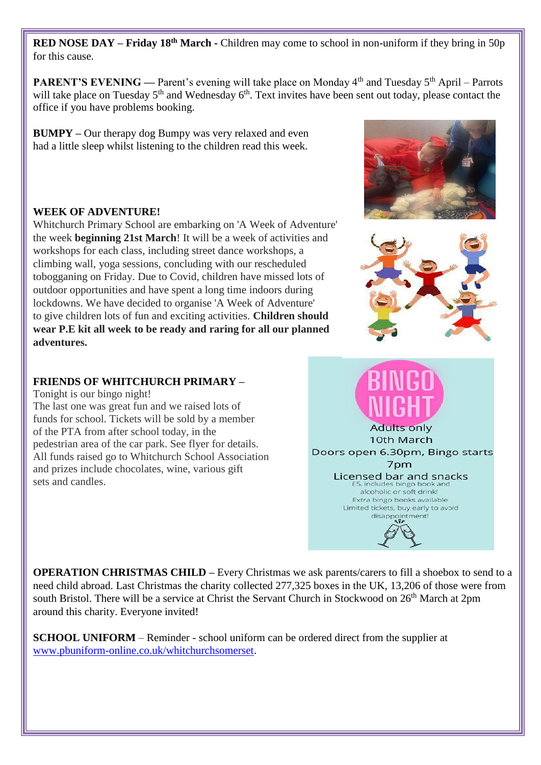**RED NOSE DAY – Friday 18th March -** Children may come to school in non-uniform if they bring in 50p for this cause.

**PARENT'S EVENING** — Parent's evening will take place on Monday 4<sup>th</sup> and Tuesday 5<sup>th</sup> April – Parrots will take place on Tuesday 5<sup>th</sup> and Wednesday 6<sup>th</sup>. Text invites have been sent out today, please contact the office if you have problems booking.

**BUMPY –** Our therapy dog Bumpy was very relaxed and even had a little sleep whilst listening to the children read this week.

## **WEEK OF ADVENTURE!**

Whitchurch Primary School are embarking on 'A Week of Adventure' the week **beginning 21st March**! It will be a week of activities and workshops for each class, including street dance workshops, a climbing wall, yoga sessions, concluding with our rescheduled tobogganing on Friday. Due to Covid, children have missed lots of outdoor opportunities and have spent a long time indoors during lockdowns. We have decided to organise 'A Week of Adventure' to give children lots of fun and exciting activities. **Children should wear P.E kit all week to be ready and raring for all our planned adventures.**

## **FRIENDS OF WHITCHURCH PRIMARY –**

Tonight is our bingo night!

The last one was great fun and we raised lots of funds for school. Tickets will be sold by a member of the PTA from after school today, in the pedestrian area of the car park. See flyer for details. All funds raised go to Whitchurch School Association and prizes include chocolates, wine, various gift sets and candles.

**OPERATION CHRISTMAS CHILD –** Every Christmas we ask parents/carers to fill a shoebox to send to a need child abroad. Last Christmas the charity collected 277,325 boxes in the UK, 13,206 of those were from south Bristol. There will be a service at Christ the Servant Church in Stockwood on 26<sup>th</sup> March at 2pm around this charity. Everyone invited!

**SCHOOL UNIFORM** – Reminder - school uniform can be ordered direct from the supplier at [www.pbuniform-online.co.uk/whitchurchsomerset.](http://www.pbuniform-online.co.uk/whitchurchsomerset)